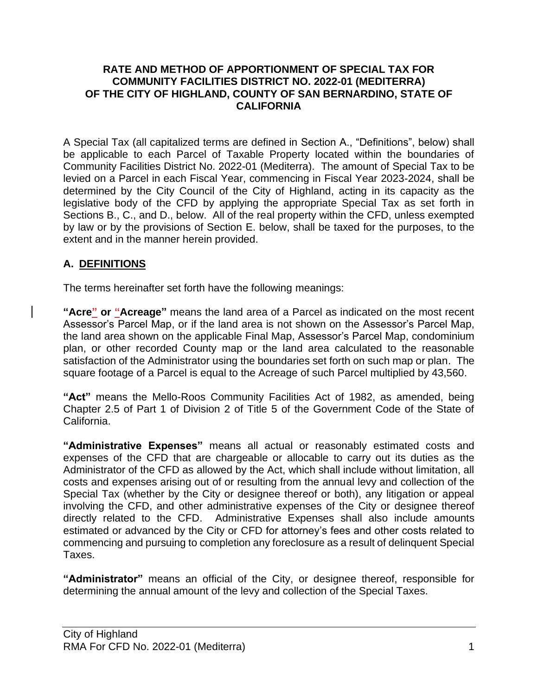#### **RATE AND METHOD OF APPORTIONMENT OF SPECIAL TAX FOR COMMUNITY FACILITIES DISTRICT NO. 2022-01 (MEDITERRA) OF THE CITY OF HIGHLAND, COUNTY OF SAN BERNARDINO, STATE OF CALIFORNIA**

A Special Tax (all capitalized terms are defined in Section A., "Definitions", below) shall be applicable to each Parcel of Taxable Property located within the boundaries of Community Facilities District No. 2022-01 (Mediterra). The amount of Special Tax to be levied on a Parcel in each Fiscal Year, commencing in Fiscal Year 2023-2024, shall be determined by the City Council of the City of Highland, acting in its capacity as the legislative body of the CFD by applying the appropriate Special Tax as set forth in Sections B., C., and D., below. All of the real property within the CFD, unless exempted by law or by the provisions of Section E. below, shall be taxed for the purposes, to the extent and in the manner herein provided.

# **A. DEFINITIONS**

The terms hereinafter set forth have the following meanings:

**"Acre" or "Acreage"** means the land area of a Parcel as indicated on the most recent Assessor's Parcel Map, or if the land area is not shown on the Assessor's Parcel Map, the land area shown on the applicable Final Map, Assessor's Parcel Map, condominium plan, or other recorded County map or the land area calculated to the reasonable satisfaction of the Administrator using the boundaries set forth on such map or plan. The square footage of a Parcel is equal to the Acreage of such Parcel multiplied by 43,560.

**"Act"** means the Mello-Roos Community Facilities Act of 1982, as amended, being Chapter 2.5 of Part 1 of Division 2 of Title 5 of the Government Code of the State of California.

**"Administrative Expenses"** means all actual or reasonably estimated costs and expenses of the CFD that are chargeable or allocable to carry out its duties as the Administrator of the CFD as allowed by the Act, which shall include without limitation, all costs and expenses arising out of or resulting from the annual levy and collection of the Special Tax (whether by the City or designee thereof or both), any litigation or appeal involving the CFD, and other administrative expenses of the City or designee thereof directly related to the CFD. Administrative Expenses shall also include amounts estimated or advanced by the City or CFD for attorney's fees and other costs related to commencing and pursuing to completion any foreclosure as a result of delinquent Special Taxes.

**"Administrator"** means an official of the City, or designee thereof, responsible for determining the annual amount of the levy and collection of the Special Taxes.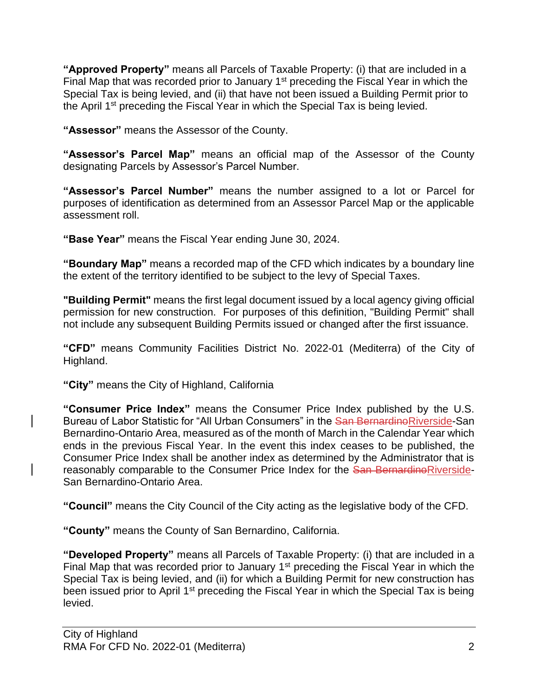**"Approved Property"** means all Parcels of Taxable Property: (i) that are included in a Final Map that was recorded prior to January 1<sup>st</sup> preceding the Fiscal Year in which the Special Tax is being levied, and (ii) that have not been issued a Building Permit prior to the April 1<sup>st</sup> preceding the Fiscal Year in which the Special Tax is being levied.

**"Assessor"** means the Assessor of the County.

**"Assessor's Parcel Map"** means an official map of the Assessor of the County designating Parcels by Assessor's Parcel Number.

**"Assessor's Parcel Number"** means the number assigned to a lot or Parcel for purposes of identification as determined from an Assessor Parcel Map or the applicable assessment roll.

**"Base Year"** means the Fiscal Year ending June 30, 2024.

**"Boundary Map"** means a recorded map of the CFD which indicates by a boundary line the extent of the territory identified to be subject to the levy of Special Taxes.

**"Building Permit"** means the first legal document issued by a local agency giving official permission for new construction. For purposes of this definition, "Building Permit" shall not include any subsequent Building Permits issued or changed after the first issuance.

**"CFD"** means Community Facilities District No. 2022-01 (Mediterra) of the City of Highland.

**"City"** means the City of Highland, California

**"Consumer Price Index"** means the Consumer Price Index published by the U.S. Bureau of Labor Statistic for "All Urban Consumers" in the San Bernardino Riverside-San Bernardino-Ontario Area, measured as of the month of March in the Calendar Year which ends in the previous Fiscal Year. In the event this index ceases to be published, the Consumer Price Index shall be another index as determined by the Administrator that is reasonably comparable to the Consumer Price Index for the San BernardinoRiverside-San Bernardino-Ontario Area.

**"Council"** means the City Council of the City acting as the legislative body of the CFD.

**"County"** means the County of San Bernardino, California.

**"Developed Property"** means all Parcels of Taxable Property: (i) that are included in a Final Map that was recorded prior to January 1<sup>st</sup> preceding the Fiscal Year in which the Special Tax is being levied, and (ii) for which a Building Permit for new construction has been issued prior to April 1<sup>st</sup> preceding the Fiscal Year in which the Special Tax is being levied.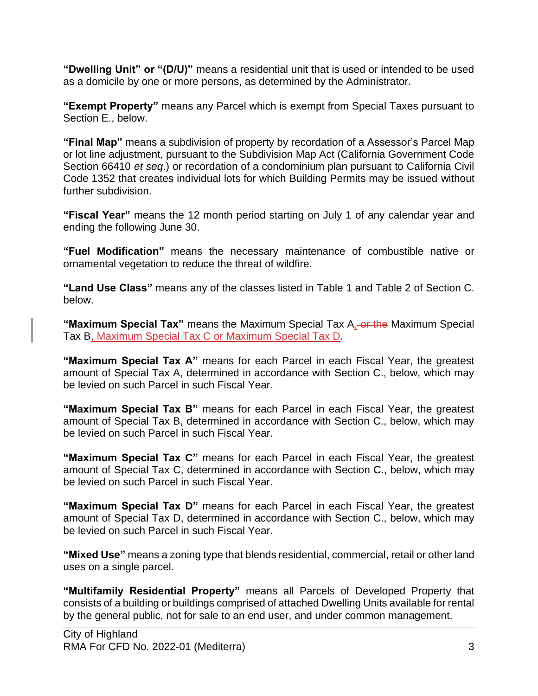**"Dwelling Unit" or "(D/U)"** means a residential unit that is used or intended to be used as a domicile by one or more persons, as determined by the Administrator.

**"Exempt Property"** means any Parcel which is exempt from Special Taxes pursuant to Section E., below.

**"Final Map"** means a subdivision of property by recordation of a Assessor's Parcel Map or lot line adjustment, pursuant to the Subdivision Map Act (California Government Code Section 66410 *et seq*.) or recordation of a condominium plan pursuant to California Civil Code 1352 that creates individual lots for which Building Permits may be issued without further subdivision.

**"Fiscal Year"** means the 12 month period starting on July 1 of any calendar year and ending the following June 30.

**"Fuel Modification"** means the necessary maintenance of combustible native or ornamental vegetation to reduce the threat of wildfire.

**"Land Use Class"** means any of the classes listed in Table 1 and Table 2 of Section C. below.

**"Maximum Special Tax"** means the Maximum Special Tax A, or the Maximum Special Tax B, Maximum Special Tax C or Maximum Special Tax D.

**"Maximum Special Tax A"** means for each Parcel in each Fiscal Year, the greatest amount of Special Tax A, determined in accordance with Section C., below, which may be levied on such Parcel in such Fiscal Year.

**"Maximum Special Tax B"** means for each Parcel in each Fiscal Year, the greatest amount of Special Tax B, determined in accordance with Section C., below, which may be levied on such Parcel in such Fiscal Year.

**"Maximum Special Tax C"** means for each Parcel in each Fiscal Year, the greatest amount of Special Tax C, determined in accordance with Section C., below, which may be levied on such Parcel in such Fiscal Year.

**"Maximum Special Tax D"** means for each Parcel in each Fiscal Year, the greatest amount of Special Tax D, determined in accordance with Section C., below, which may be levied on such Parcel in such Fiscal Year.

**"Mixed Use"** means a zoning type that blends residential, commercial, retail or other land uses on a single parcel.

**"Multifamily Residential Property"** means all Parcels of Developed Property that consists of a building or buildings comprised of attached Dwelling Units available for rental by the general public, not for sale to an end user, and under common management.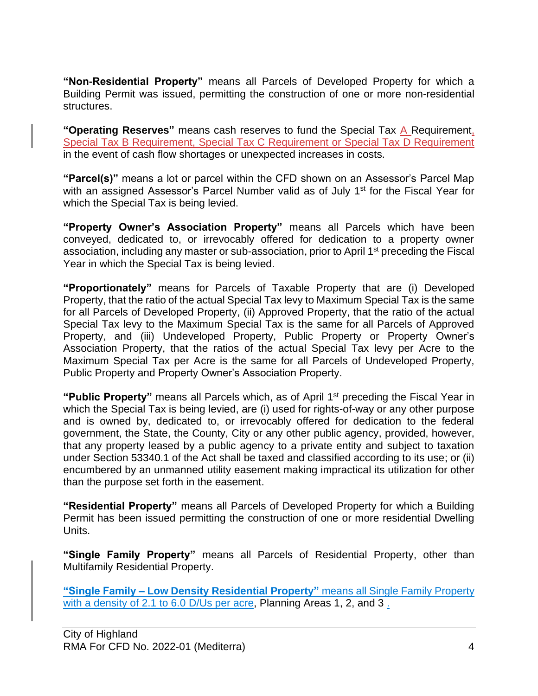**"Non-Residential Property"** means all Parcels of Developed Property for which a Building Permit was issued, permitting the construction of one or more non-residential structures.

**"Operating Reserves"** means cash reserves to fund the Special Tax A Requirement, Special Tax B Requirement, Special Tax C Requirement or Special Tax D Requirement in the event of cash flow shortages or unexpected increases in costs.

**"Parcel(s)"** means a lot or parcel within the CFD shown on an Assessor's Parcel Map with an assigned Assessor's Parcel Number valid as of July 1<sup>st</sup> for the Fiscal Year for which the Special Tax is being levied.

**"Property Owner's Association Property"** means all Parcels which have been conveyed, dedicated to, or irrevocably offered for dedication to a property owner association, including any master or sub-association, prior to April 1<sup>st</sup> preceding the Fiscal Year in which the Special Tax is being levied.

**"Proportionately"** means for Parcels of Taxable Property that are (i) Developed Property, that the ratio of the actual Special Tax levy to Maximum Special Tax is the same for all Parcels of Developed Property, (ii) Approved Property, that the ratio of the actual Special Tax levy to the Maximum Special Tax is the same for all Parcels of Approved Property, and (iii) Undeveloped Property, Public Property or Property Owner's Association Property, that the ratios of the actual Special Tax levy per Acre to the Maximum Special Tax per Acre is the same for all Parcels of Undeveloped Property, Public Property and Property Owner's Association Property.

"Public Property" means all Parcels which, as of April 1<sup>st</sup> preceding the Fiscal Year in which the Special Tax is being levied, are (i) used for rights-of-way or any other purpose and is owned by, dedicated to, or irrevocably offered for dedication to the federal government, the State, the County, City or any other public agency, provided, however, that any property leased by a public agency to a private entity and subject to taxation under Section 53340.1 of the Act shall be taxed and classified according to its use; or (ii) encumbered by an unmanned utility easement making impractical its utilization for other than the purpose set forth in the easement.

**"Residential Property"** means all Parcels of Developed Property for which a Building Permit has been issued permitting the construction of one or more residential Dwelling Units.

**"Single Family Property"** means all Parcels of Residential Property, other than Multifamily Residential Property.

**"Single Family – Low Density Residential Property"** means all Single Family Property with a density of 2.1 to 6.0 D/Us per acre, Planning Areas 1, 2, and 3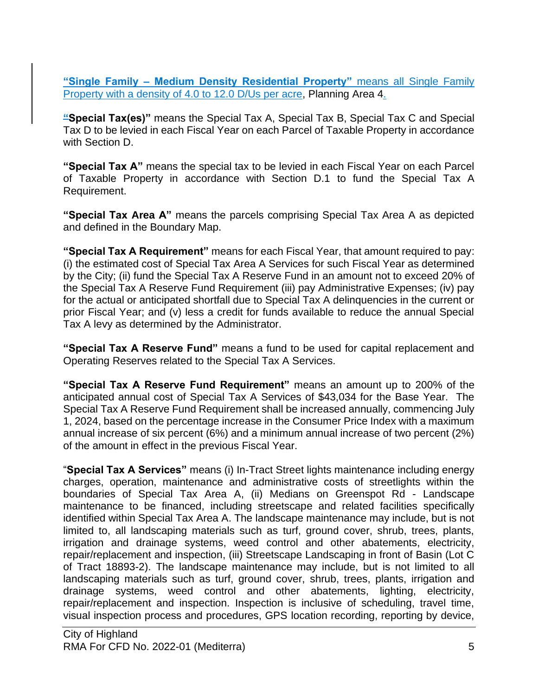**"Single Family – Medium Density Residential Property"** means all Single Family Property with a density of 4.0 to 12.0 D/Us per acre, Planning Area 4.

**"Special Tax(es)"** means the Special Tax A, Special Tax B, Special Tax C and Special Tax D to be levied in each Fiscal Year on each Parcel of Taxable Property in accordance with Section D.

**"Special Tax A"** means the special tax to be levied in each Fiscal Year on each Parcel of Taxable Property in accordance with Section D.1 to fund the Special Tax A Requirement.

**"Special Tax Area A"** means the parcels comprising Special Tax Area A as depicted and defined in the Boundary Map.

**"Special Tax A Requirement"** means for each Fiscal Year, that amount required to pay: (i) the estimated cost of Special Tax Area A Services for such Fiscal Year as determined by the City; (ii) fund the Special Tax A Reserve Fund in an amount not to exceed 20% of the Special Tax A Reserve Fund Requirement (iii) pay Administrative Expenses; (iv) pay for the actual or anticipated shortfall due to Special Tax A delinquencies in the current or prior Fiscal Year; and (v) less a credit for funds available to reduce the annual Special Tax A levy as determined by the Administrator.

**"Special Tax A Reserve Fund"** means a fund to be used for capital replacement and Operating Reserves related to the Special Tax A Services.

**"Special Tax A Reserve Fund Requirement"** means an amount up to 200% of the anticipated annual cost of Special Tax A Services of \$43,034 for the Base Year. The Special Tax A Reserve Fund Requirement shall be increased annually, commencing July 1, 2024, based on the percentage increase in the Consumer Price Index with a maximum annual increase of six percent (6%) and a minimum annual increase of two percent (2%) of the amount in effect in the previous Fiscal Year.

"**Special Tax A Services"** means (i) In-Tract Street lights maintenance including energy charges, operation, maintenance and administrative costs of streetlights within the boundaries of Special Tax Area A, (ii) Medians on Greenspot Rd - Landscape maintenance to be financed, including streetscape and related facilities specifically identified within Special Tax Area A. The landscape maintenance may include, but is not limited to, all landscaping materials such as turf, ground cover, shrub, trees, plants, irrigation and drainage systems, weed control and other abatements, electricity, repair/replacement and inspection, (iii) Streetscape Landscaping in front of Basin (Lot C of Tract 18893-2). The landscape maintenance may include, but is not limited to all landscaping materials such as turf, ground cover, shrub, trees, plants, irrigation and drainage systems, weed control and other abatements, lighting, electricity, repair/replacement and inspection. Inspection is inclusive of scheduling, travel time, visual inspection process and procedures, GPS location recording, reporting by device,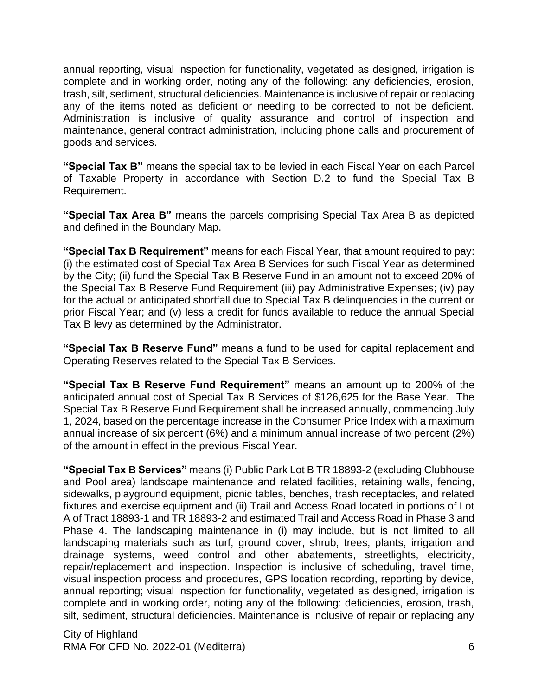annual reporting, visual inspection for functionality, vegetated as designed, irrigation is complete and in working order, noting any of the following: any deficiencies, erosion, trash, silt, sediment, structural deficiencies. Maintenance is inclusive of repair or replacing any of the items noted as deficient or needing to be corrected to not be deficient. Administration is inclusive of quality assurance and control of inspection and maintenance, general contract administration, including phone calls and procurement of goods and services.

**"Special Tax B"** means the special tax to be levied in each Fiscal Year on each Parcel of Taxable Property in accordance with Section D.2 to fund the Special Tax B Requirement.

**"Special Tax Area B"** means the parcels comprising Special Tax Area B as depicted and defined in the Boundary Map.

**"Special Tax B Requirement"** means for each Fiscal Year, that amount required to pay: (i) the estimated cost of Special Tax Area B Services for such Fiscal Year as determined by the City; (ii) fund the Special Tax B Reserve Fund in an amount not to exceed 20% of the Special Tax B Reserve Fund Requirement (iii) pay Administrative Expenses; (iv) pay for the actual or anticipated shortfall due to Special Tax B delinquencies in the current or prior Fiscal Year; and (v) less a credit for funds available to reduce the annual Special Tax B levy as determined by the Administrator.

**"Special Tax B Reserve Fund"** means a fund to be used for capital replacement and Operating Reserves related to the Special Tax B Services.

**"Special Tax B Reserve Fund Requirement"** means an amount up to 200% of the anticipated annual cost of Special Tax B Services of \$126,625 for the Base Year. The Special Tax B Reserve Fund Requirement shall be increased annually, commencing July 1, 2024, based on the percentage increase in the Consumer Price Index with a maximum annual increase of six percent (6%) and a minimum annual increase of two percent (2%) of the amount in effect in the previous Fiscal Year.

**"Special Tax B Services"** means (i) Public Park Lot B TR 18893-2 (excluding Clubhouse and Pool area) landscape maintenance and related facilities, retaining walls, fencing, sidewalks, playground equipment, picnic tables, benches, trash receptacles, and related fixtures and exercise equipment and (ii) Trail and Access Road located in portions of Lot A of Tract 18893-1 and TR 18893-2 and estimated Trail and Access Road in Phase 3 and Phase 4. The landscaping maintenance in (i) may include, but is not limited to all landscaping materials such as turf, ground cover, shrub, trees, plants, irrigation and drainage systems, weed control and other abatements, streetlights, electricity, repair/replacement and inspection. Inspection is inclusive of scheduling, travel time, visual inspection process and procedures, GPS location recording, reporting by device, annual reporting; visual inspection for functionality, vegetated as designed, irrigation is complete and in working order, noting any of the following: deficiencies, erosion, trash, silt, sediment, structural deficiencies. Maintenance is inclusive of repair or replacing any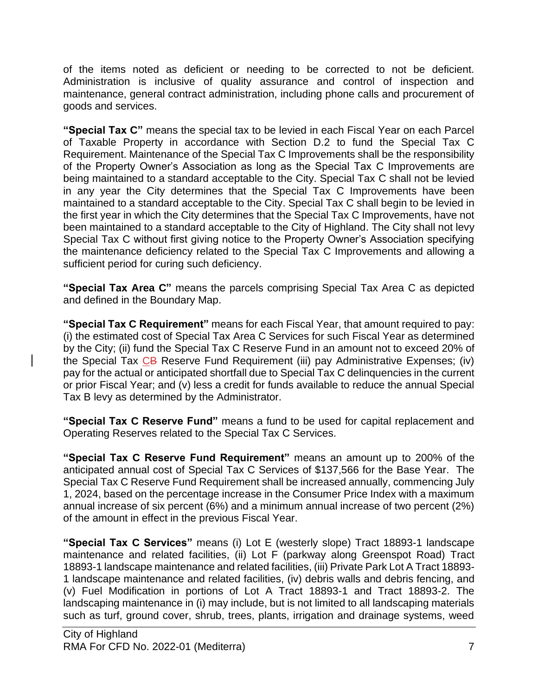of the items noted as deficient or needing to be corrected to not be deficient. Administration is inclusive of quality assurance and control of inspection and maintenance, general contract administration, including phone calls and procurement of goods and services.

**"Special Tax C"** means the special tax to be levied in each Fiscal Year on each Parcel of Taxable Property in accordance with Section D.2 to fund the Special Tax C Requirement. Maintenance of the Special Tax C Improvements shall be the responsibility of the Property Owner's Association as long as the Special Tax C Improvements are being maintained to a standard acceptable to the City. Special Tax C shall not be levied in any year the City determines that the Special Tax C Improvements have been maintained to a standard acceptable to the City. Special Tax C shall begin to be levied in the first year in which the City determines that the Special Tax C Improvements, have not been maintained to a standard acceptable to the City of Highland. The City shall not levy Special Tax C without first giving notice to the Property Owner's Association specifying the maintenance deficiency related to the Special Tax C Improvements and allowing a sufficient period for curing such deficiency.

**"Special Tax Area C"** means the parcels comprising Special Tax Area C as depicted and defined in the Boundary Map.

**"Special Tax C Requirement"** means for each Fiscal Year, that amount required to pay: (i) the estimated cost of Special Tax Area C Services for such Fiscal Year as determined by the City; (ii) fund the Special Tax C Reserve Fund in an amount not to exceed 20% of the Special Tax CB Reserve Fund Requirement (iii) pay Administrative Expenses; (iv) pay for the actual or anticipated shortfall due to Special Tax C delinquencies in the current or prior Fiscal Year; and (v) less a credit for funds available to reduce the annual Special Tax B levy as determined by the Administrator.

**"Special Tax C Reserve Fund"** means a fund to be used for capital replacement and Operating Reserves related to the Special Tax C Services.

**"Special Tax C Reserve Fund Requirement"** means an amount up to 200% of the anticipated annual cost of Special Tax C Services of \$137,566 for the Base Year. The Special Tax C Reserve Fund Requirement shall be increased annually, commencing July 1, 2024, based on the percentage increase in the Consumer Price Index with a maximum annual increase of six percent (6%) and a minimum annual increase of two percent (2%) of the amount in effect in the previous Fiscal Year.

**"Special Tax C Services"** means (i) Lot E (westerly slope) Tract 18893-1 landscape maintenance and related facilities, (ii) Lot F (parkway along Greenspot Road) Tract 18893-1 landscape maintenance and related facilities, (iii) Private Park Lot A Tract 18893- 1 landscape maintenance and related facilities, (iv) debris walls and debris fencing, and (v) Fuel Modification in portions of Lot A Tract 18893-1 and Tract 18893-2. The landscaping maintenance in (i) may include, but is not limited to all landscaping materials such as turf, ground cover, shrub, trees, plants, irrigation and drainage systems, weed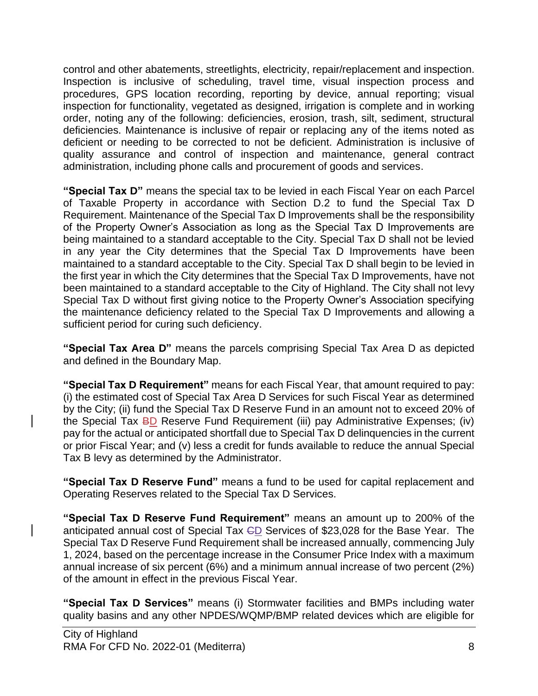control and other abatements, streetlights, electricity, repair/replacement and inspection. Inspection is inclusive of scheduling, travel time, visual inspection process and procedures, GPS location recording, reporting by device, annual reporting; visual inspection for functionality, vegetated as designed, irrigation is complete and in working order, noting any of the following: deficiencies, erosion, trash, silt, sediment, structural deficiencies. Maintenance is inclusive of repair or replacing any of the items noted as deficient or needing to be corrected to not be deficient. Administration is inclusive of quality assurance and control of inspection and maintenance, general contract administration, including phone calls and procurement of goods and services.

**"Special Tax D"** means the special tax to be levied in each Fiscal Year on each Parcel of Taxable Property in accordance with Section D.2 to fund the Special Tax D Requirement. Maintenance of the Special Tax D Improvements shall be the responsibility of the Property Owner's Association as long as the Special Tax D Improvements are being maintained to a standard acceptable to the City. Special Tax D shall not be levied in any year the City determines that the Special Tax D Improvements have been maintained to a standard acceptable to the City. Special Tax D shall begin to be levied in the first year in which the City determines that the Special Tax D Improvements, have not been maintained to a standard acceptable to the City of Highland. The City shall not levy Special Tax D without first giving notice to the Property Owner's Association specifying the maintenance deficiency related to the Special Tax D Improvements and allowing a sufficient period for curing such deficiency.

**"Special Tax Area D"** means the parcels comprising Special Tax Area D as depicted and defined in the Boundary Map.

**"Special Tax D Requirement"** means for each Fiscal Year, that amount required to pay: (i) the estimated cost of Special Tax Area D Services for such Fiscal Year as determined by the City; (ii) fund the Special Tax D Reserve Fund in an amount not to exceed 20% of the Special Tax BD Reserve Fund Requirement (iii) pay Administrative Expenses; (iv) pay for the actual or anticipated shortfall due to Special Tax D delinquencies in the current or prior Fiscal Year; and (v) less a credit for funds available to reduce the annual Special Tax B levy as determined by the Administrator.

**"Special Tax D Reserve Fund"** means a fund to be used for capital replacement and Operating Reserves related to the Special Tax D Services.

**"Special Tax D Reserve Fund Requirement"** means an amount up to 200% of the anticipated annual cost of Special Tax GD Services of \$23,028 for the Base Year. The Special Tax D Reserve Fund Requirement shall be increased annually, commencing July 1, 2024, based on the percentage increase in the Consumer Price Index with a maximum annual increase of six percent (6%) and a minimum annual increase of two percent (2%) of the amount in effect in the previous Fiscal Year.

**"Special Tax D Services"** means (i) Stormwater facilities and BMPs including water quality basins and any other NPDES/WQMP/BMP related devices which are eligible for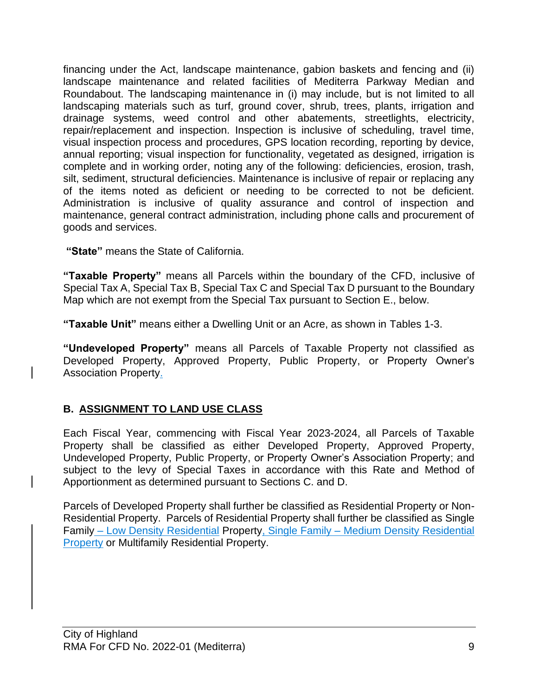financing under the Act, landscape maintenance, gabion baskets and fencing and (ii) landscape maintenance and related facilities of Mediterra Parkway Median and Roundabout. The landscaping maintenance in (i) may include, but is not limited to all landscaping materials such as turf, ground cover, shrub, trees, plants, irrigation and drainage systems, weed control and other abatements, streetlights, electricity, repair/replacement and inspection. Inspection is inclusive of scheduling, travel time, visual inspection process and procedures, GPS location recording, reporting by device, annual reporting; visual inspection for functionality, vegetated as designed, irrigation is complete and in working order, noting any of the following: deficiencies, erosion, trash, silt, sediment, structural deficiencies. Maintenance is inclusive of repair or replacing any of the items noted as deficient or needing to be corrected to not be deficient. Administration is inclusive of quality assurance and control of inspection and maintenance, general contract administration, including phone calls and procurement of goods and services.

**"State"** means the State of California.

**"Taxable Property"** means all Parcels within the boundary of the CFD, inclusive of Special Tax A, Special Tax B, Special Tax C and Special Tax D pursuant to the Boundary Map which are not exempt from the Special Tax pursuant to Section E., below.

**"Taxable Unit"** means either a Dwelling Unit or an Acre, as shown in Tables 1-3.

**"Undeveloped Property"** means all Parcels of Taxable Property not classified as Developed Property, Approved Property, Public Property, or Property Owner's Association Property.

# **B. ASSIGNMENT TO LAND USE CLASS**

Each Fiscal Year, commencing with Fiscal Year 2023-2024, all Parcels of Taxable Property shall be classified as either Developed Property, Approved Property, Undeveloped Property, Public Property, or Property Owner's Association Property; and subject to the levy of Special Taxes in accordance with this Rate and Method of Apportionment as determined pursuant to Sections C. and D.

Parcels of Developed Property shall further be classified as Residential Property or Non-Residential Property. Parcels of Residential Property shall further be classified as Single Family – Low Density Residential Property, Single Family – Medium Density Residential Property or Multifamily Residential Property.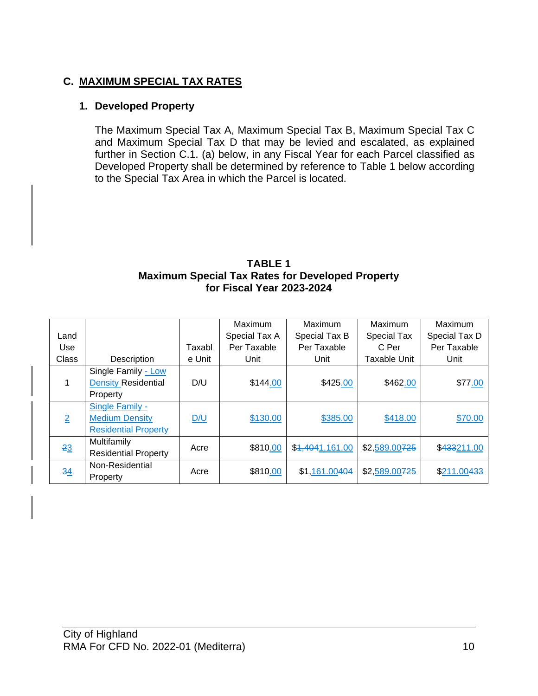# **C. MAXIMUM SPECIAL TAX RATES**

### **1. Developed Property**

The Maximum Special Tax A, Maximum Special Tax B, Maximum Special Tax C and Maximum Special Tax D that may be levied and escalated, as explained further in Section C.1. (a) below, in any Fiscal Year for each Parcel classified as Developed Property shall be determined by reference to Table 1 below according to the Special Tax Area in which the Parcel is located.

#### **TABLE 1 Maximum Special Tax Rates for Developed Property for Fiscal Year 2023-2024**

|                |                             |        | Maximum       | Maximum         | Maximum            | Maximum       |
|----------------|-----------------------------|--------|---------------|-----------------|--------------------|---------------|
| Land           |                             |        | Special Tax A | Special Tax B   | <b>Special Tax</b> | Special Tax D |
| Use            |                             | Taxabl | Per Taxable   | Per Taxable     | C Per              | Per Taxable   |
| Class          | Description                 | e Unit | Unit          | Unit            | Taxable Unit       | Unit          |
|                | Single Family - Low         |        | \$144.00      | \$425.00        | \$462.00           | \$77.00       |
|                | <b>Density Residential</b>  | D/U    |               |                 |                    |               |
|                | Property                    |        |               |                 |                    |               |
| $\overline{2}$ | Single Family -             |        | \$130.00      | \$385.00        | \$418.00           | \$70.00       |
|                | <b>Medium Density</b>       | D/U    |               |                 |                    |               |
|                | <b>Residential Property</b> |        |               |                 |                    |               |
| 23             | Multifamily                 | Acre   | \$810.00      | \$4,4041,161.00 | \$2,589.00725      | \$433211.00   |
|                | <b>Residential Property</b> |        |               |                 |                    |               |
| 34             | Non-Residential             |        | \$810.00      | \$1,161.00404   | \$2,589.00725      | \$211.00433   |
|                | Property                    | Acre   |               |                 |                    |               |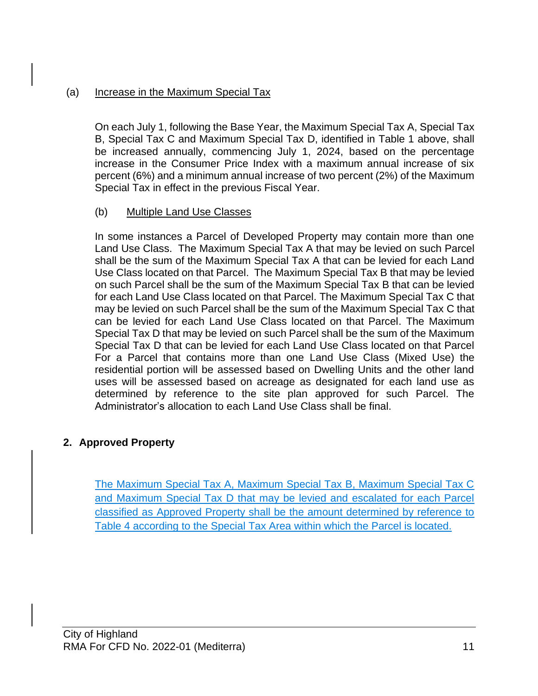### (a) Increase in the Maximum Special Tax

On each July 1, following the Base Year, the Maximum Special Tax A, Special Tax B, Special Tax C and Maximum Special Tax D, identified in Table 1 above, shall be increased annually, commencing July 1, 2024, based on the percentage increase in the Consumer Price Index with a maximum annual increase of six percent (6%) and a minimum annual increase of two percent (2%) of the Maximum Special Tax in effect in the previous Fiscal Year.

### (b) Multiple Land Use Classes

In some instances a Parcel of Developed Property may contain more than one Land Use Class. The Maximum Special Tax A that may be levied on such Parcel shall be the sum of the Maximum Special Tax A that can be levied for each Land Use Class located on that Parcel. The Maximum Special Tax B that may be levied on such Parcel shall be the sum of the Maximum Special Tax B that can be levied for each Land Use Class located on that Parcel. The Maximum Special Tax C that may be levied on such Parcel shall be the sum of the Maximum Special Tax C that can be levied for each Land Use Class located on that Parcel. The Maximum Special Tax D that may be levied on such Parcel shall be the sum of the Maximum Special Tax D that can be levied for each Land Use Class located on that Parcel For a Parcel that contains more than one Land Use Class (Mixed Use) the residential portion will be assessed based on Dwelling Units and the other land uses will be assessed based on acreage as designated for each land use as determined by reference to the site plan approved for such Parcel. The Administrator's allocation to each Land Use Class shall be final.

# **2. Approved Property**

The Maximum Special Tax A, Maximum Special Tax B, Maximum Special Tax C and Maximum Special Tax D that may be levied and escalated for each Parcel classified as Approved Property shall be the amount determined by reference to Table 4 according to the Special Tax Area within which the Parcel is located.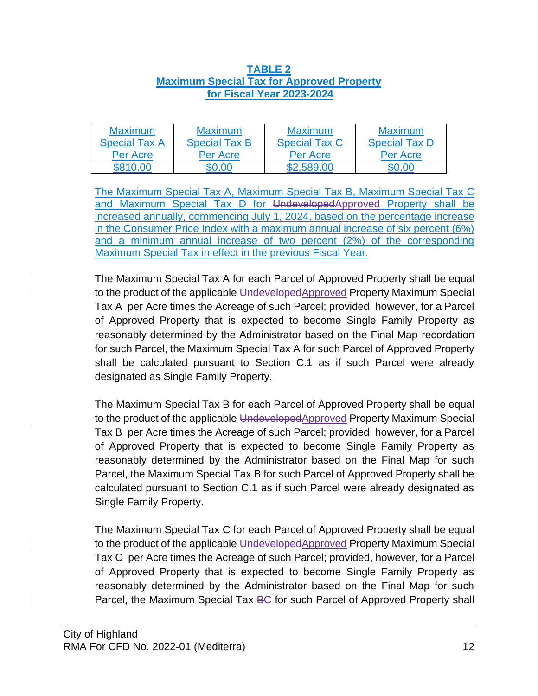#### **TABLE 2 Maximum Special Tax for Approved Property for Fiscal Year 2023-2024**

| <b>Maximum</b>       | <b>Maximum</b>       | <b>Maximum</b>       | <b>Maximum</b>       |
|----------------------|----------------------|----------------------|----------------------|
| <b>Special Tax A</b> | <b>Special Tax B</b> | <b>Special Tax C</b> | <b>Special Tax D</b> |
| Per Acre             | Per Acre             | Per Acre             | Per Acre             |
|                      |                      |                      |                      |

The Maximum Special Tax A, Maximum Special Tax B, Maximum Special Tax C and Maximum Special Tax D for UndevelopedApproved Property shall be increased annually, commencing July 1, 2024, based on the percentage increase in the Consumer Price Index with a maximum annual increase of six percent (6%) and a minimum annual increase of two percent (2%) of the corresponding Maximum Special Tax in effect in the previous Fiscal Year.

The Maximum Special Tax A for each Parcel of Approved Property shall be equal to the product of the applicable UndevelopedApproved Property Maximum Special Tax A per Acre times the Acreage of such Parcel; provided, however, for a Parcel of Approved Property that is expected to become Single Family Property as reasonably determined by the Administrator based on the Final Map recordation for such Parcel, the Maximum Special Tax A for such Parcel of Approved Property shall be calculated pursuant to Section C.1 as if such Parcel were already designated as Single Family Property.

The Maximum Special Tax B for each Parcel of Approved Property shall be equal to the product of the applicable UndevelopedApproved Property Maximum Special Tax B per Acre times the Acreage of such Parcel; provided, however, for a Parcel of Approved Property that is expected to become Single Family Property as reasonably determined by the Administrator based on the Final Map for such Parcel, the Maximum Special Tax B for such Parcel of Approved Property shall be calculated pursuant to Section C.1 as if such Parcel were already designated as Single Family Property.

The Maximum Special Tax C for each Parcel of Approved Property shall be equal to the product of the applicable UndevelopedApproved Property Maximum Special Tax C per Acre times the Acreage of such Parcel; provided, however, for a Parcel of Approved Property that is expected to become Single Family Property as reasonably determined by the Administrator based on the Final Map for such Parcel, the Maximum Special Tax BC for such Parcel of Approved Property shall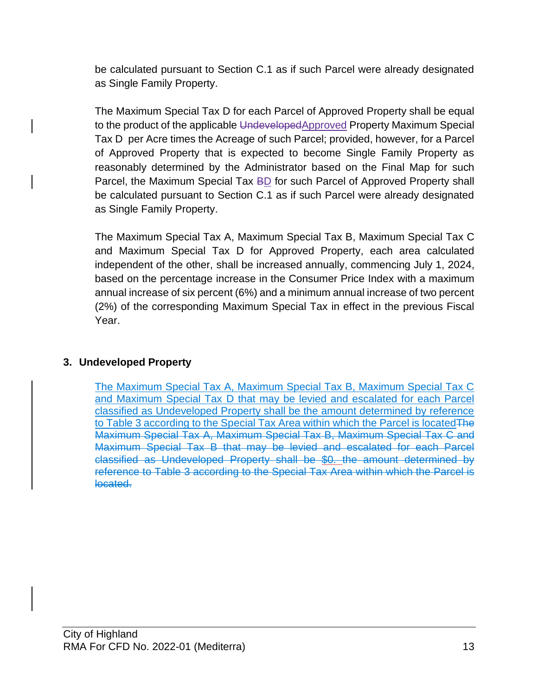be calculated pursuant to Section C.1 as if such Parcel were already designated as Single Family Property.

The Maximum Special Tax D for each Parcel of Approved Property shall be equal to the product of the applicable UndevelopedApproved Property Maximum Special Tax D per Acre times the Acreage of such Parcel; provided, however, for a Parcel of Approved Property that is expected to become Single Family Property as reasonably determined by the Administrator based on the Final Map for such Parcel, the Maximum Special Tax BD for such Parcel of Approved Property shall be calculated pursuant to Section C.1 as if such Parcel were already designated as Single Family Property.

The Maximum Special Tax A, Maximum Special Tax B, Maximum Special Tax C and Maximum Special Tax D for Approved Property, each area calculated independent of the other, shall be increased annually, commencing July 1, 2024, based on the percentage increase in the Consumer Price Index with a maximum annual increase of six percent (6%) and a minimum annual increase of two percent (2%) of the corresponding Maximum Special Tax in effect in the previous Fiscal Year.

# **3. Undeveloped Property**

The Maximum Special Tax A, Maximum Special Tax B, Maximum Special Tax C and Maximum Special Tax D that may be levied and escalated for each Parcel classified as Undeveloped Property shall be the amount determined by reference to Table 3 according to the Special Tax Area within which the Parcel is located The Maximum Special Tax A, Maximum Special Tax B, Maximum Special Tax C and Maximum Special Tax B that may be levied and escalated for each Parcel classified as Undeveloped Property shall be \$0. the amount determined by reference to Table 3 according to the Special Tax Area within which the Parcel is located.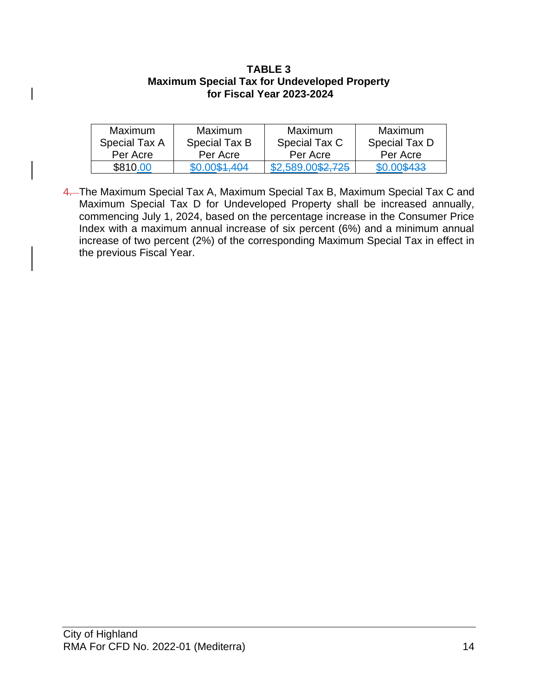#### **TABLE 3 Maximum Special Tax for Undeveloped Property for Fiscal Year 2023-2024**

| <b>Maximum</b> | <b>Maximum</b> | <b>Maximum</b>    | Maximum       |
|----------------|----------------|-------------------|---------------|
| Special Tax A  | Special Tax B  | Special Tax C     | Special Tax D |
| Per Acre       | Per Acre       | Per Acre          | Per Acre      |
| \$810,00       | \$0.00\$1.404  | \$2,589.00\$2,725 | \$0.00\$433   |

4. The Maximum Special Tax A, Maximum Special Tax B, Maximum Special Tax C and Maximum Special Tax D for Undeveloped Property shall be increased annually, commencing July 1, 2024, based on the percentage increase in the Consumer Price Index with a maximum annual increase of six percent (6%) and a minimum annual increase of two percent (2%) of the corresponding Maximum Special Tax in effect in the previous Fiscal Year.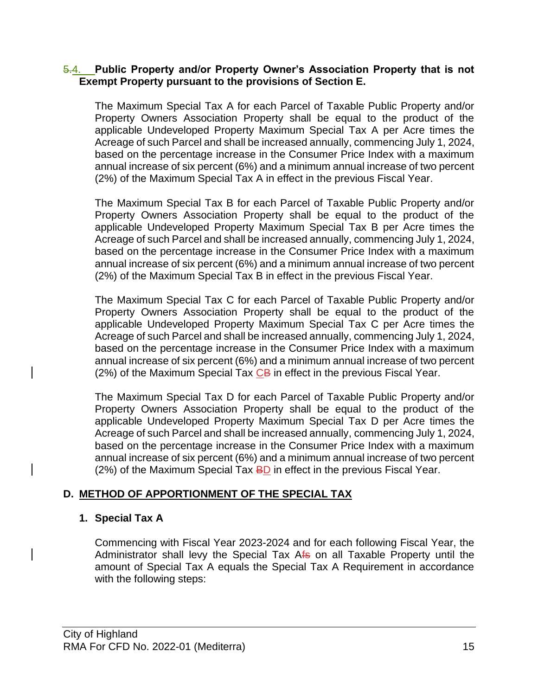#### 5.4. **Public Property and/or Property Owner's Association Property that is not Exempt Property pursuant to the provisions of Section E.**

The Maximum Special Tax A for each Parcel of Taxable Public Property and/or Property Owners Association Property shall be equal to the product of the applicable Undeveloped Property Maximum Special Tax A per Acre times the Acreage of such Parcel and shall be increased annually, commencing July 1, 2024, based on the percentage increase in the Consumer Price Index with a maximum annual increase of six percent (6%) and a minimum annual increase of two percent (2%) of the Maximum Special Tax A in effect in the previous Fiscal Year.

The Maximum Special Tax B for each Parcel of Taxable Public Property and/or Property Owners Association Property shall be equal to the product of the applicable Undeveloped Property Maximum Special Tax B per Acre times the Acreage of such Parcel and shall be increased annually, commencing July 1, 2024, based on the percentage increase in the Consumer Price Index with a maximum annual increase of six percent (6%) and a minimum annual increase of two percent (2%) of the Maximum Special Tax B in effect in the previous Fiscal Year.

The Maximum Special Tax C for each Parcel of Taxable Public Property and/or Property Owners Association Property shall be equal to the product of the applicable Undeveloped Property Maximum Special Tax C per Acre times the Acreage of such Parcel and shall be increased annually, commencing July 1, 2024, based on the percentage increase in the Consumer Price Index with a maximum annual increase of six percent (6%) and a minimum annual increase of two percent (2%) of the Maximum Special Tax  $CB$  in effect in the previous Fiscal Year.

The Maximum Special Tax D for each Parcel of Taxable Public Property and/or Property Owners Association Property shall be equal to the product of the applicable Undeveloped Property Maximum Special Tax D per Acre times the Acreage of such Parcel and shall be increased annually, commencing July 1, 2024, based on the percentage increase in the Consumer Price Index with a maximum annual increase of six percent (6%) and a minimum annual increase of two percent (2%) of the Maximum Special Tax **BD** in effect in the previous Fiscal Year.

### **D. METHOD OF APPORTIONMENT OF THE SPECIAL TAX**

### **1. Special Tax A**

Commencing with Fiscal Year 2023-2024 and for each following Fiscal Year, the Administrator shall levy the Special Tax Afs on all Taxable Property until the amount of Special Tax A equals the Special Tax A Requirement in accordance with the following steps: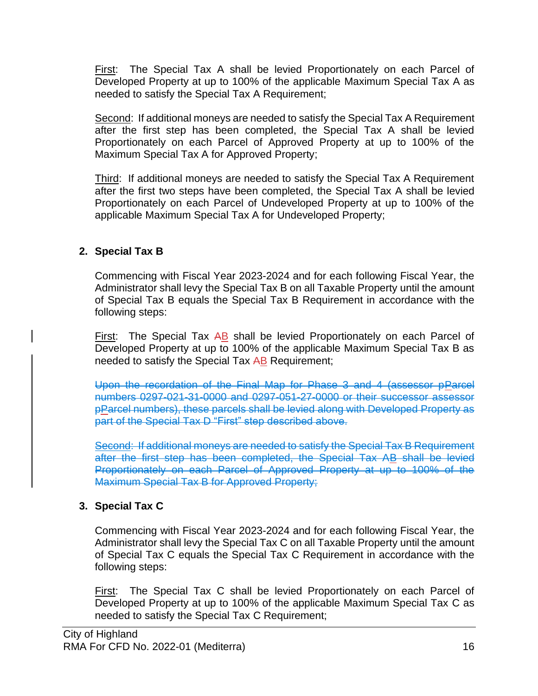First: The Special Tax A shall be levied Proportionately on each Parcel of Developed Property at up to 100% of the applicable Maximum Special Tax A as needed to satisfy the Special Tax A Requirement;

Second: If additional moneys are needed to satisfy the Special Tax A Requirement after the first step has been completed, the Special Tax A shall be levied Proportionately on each Parcel of Approved Property at up to 100% of the Maximum Special Tax A for Approved Property;

Third: If additional moneys are needed to satisfy the Special Tax A Requirement after the first two steps have been completed, the Special Tax A shall be levied Proportionately on each Parcel of Undeveloped Property at up to 100% of the applicable Maximum Special Tax A for Undeveloped Property;

# **2. Special Tax B**

Commencing with Fiscal Year 2023-2024 and for each following Fiscal Year, the Administrator shall levy the Special Tax B on all Taxable Property until the amount of Special Tax B equals the Special Tax B Requirement in accordance with the following steps:

First: The Special Tax AB shall be levied Proportionately on each Parcel of Developed Property at up to 100% of the applicable Maximum Special Tax B as needed to satisfy the Special Tax AB Requirement;

Upon the recordation of the Final Map for Phase 3 and 4 (assessor pParcel numbers 0297-021-31-0000 and 0297-051-27-0000 or their successor assessor pParcel numbers), these parcels shall be levied along with Developed Property as part of the Special Tax D "First" step described above.

Second: If additional moneys are needed to satisfy the Special Tax B Requirement after the first step has been completed, the Special Tax AB shall be levied Proportionately on each Parcel of Approved Property at up to 100% of the Maximum Special Tax B for Approved Property;

# **3. Special Tax C**

Commencing with Fiscal Year 2023-2024 and for each following Fiscal Year, the Administrator shall levy the Special Tax C on all Taxable Property until the amount of Special Tax C equals the Special Tax C Requirement in accordance with the following steps:

First: The Special Tax C shall be levied Proportionately on each Parcel of Developed Property at up to 100% of the applicable Maximum Special Tax C as needed to satisfy the Special Tax C Requirement;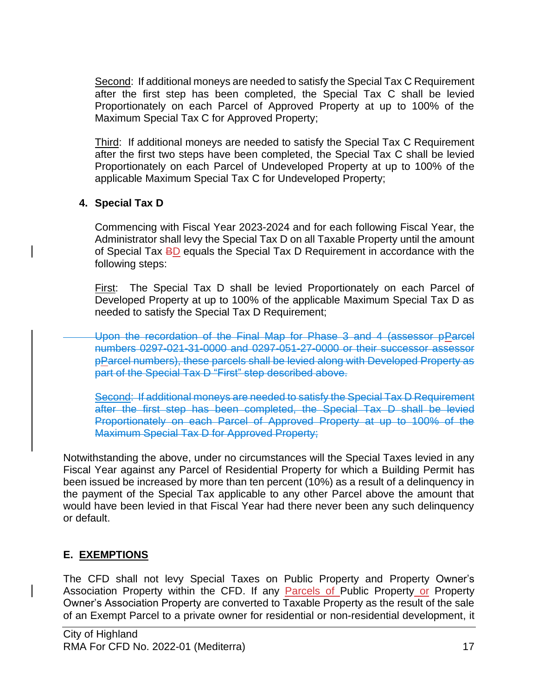Second: If additional moneys are needed to satisfy the Special Tax C Requirement after the first step has been completed, the Special Tax C shall be levied Proportionately on each Parcel of Approved Property at up to 100% of the Maximum Special Tax C for Approved Property;

Third: If additional moneys are needed to satisfy the Special Tax C Requirement after the first two steps have been completed, the Special Tax C shall be levied Proportionately on each Parcel of Undeveloped Property at up to 100% of the applicable Maximum Special Tax C for Undeveloped Property;

# **4. Special Tax D**

Commencing with Fiscal Year 2023-2024 and for each following Fiscal Year, the Administrator shall levy the Special Tax D on all Taxable Property until the amount of Special Tax BD equals the Special Tax D Requirement in accordance with the following steps:

First: The Special Tax D shall be levied Proportionately on each Parcel of Developed Property at up to 100% of the applicable Maximum Special Tax D as needed to satisfy the Special Tax D Requirement;

Upon the recordation of the Final Map for Phase 3 and 4 (assessor pParcel numbers 0297-021-31-0000 and 0297-051-27-0000 or their successor assessor pParcel numbers), these parcels shall be levied along with Developed Property as part of the Special Tax D "First" step described above.

Second: If additional moneys are needed to satisfy the Special Tax D Requirement after the first step has been completed, the Special Tax D shall be levied Proportionately on each Parcel of Approved Property at up to 100% of the Maximum Special Tax D for Approved Property;

Notwithstanding the above, under no circumstances will the Special Taxes levied in any Fiscal Year against any Parcel of Residential Property for which a Building Permit has been issued be increased by more than ten percent (10%) as a result of a delinquency in the payment of the Special Tax applicable to any other Parcel above the amount that would have been levied in that Fiscal Year had there never been any such delinquency or default.

# **E. EXEMPTIONS**

The CFD shall not levy Special Taxes on Public Property and Property Owner's Association Property within the CFD. If any Parcels of Public Property or Property Owner's Association Property are converted to Taxable Property as the result of the sale of an Exempt Parcel to a private owner for residential or non-residential development, it